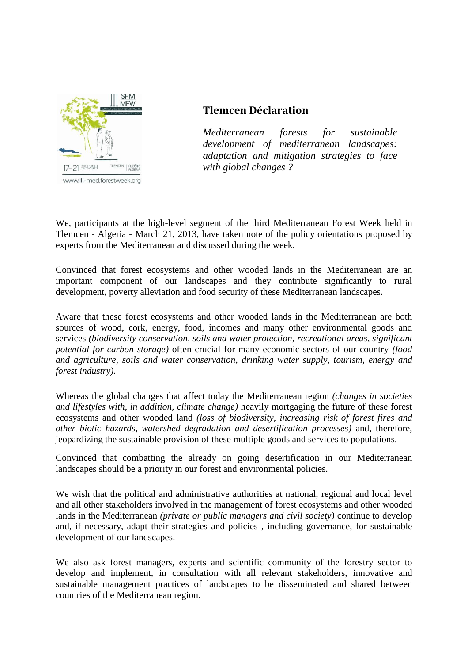

## **Tlemcen Déclaration**

*Mediterranean forests for sustainable development of mediterranean landscapes: adaptation and mitigation strategies to face with global changes ?*

We, participants at the high-level segment of the third Mediterranean Forest Week held in Tlemcen - Algeria - March 21, 2013, have taken note of the policy orientations proposed by experts from the Mediterranean and discussed during the week.

Convinced that forest ecosystems and other wooded lands in the Mediterranean are an important component of our landscapes and they contribute significantly to rural development, poverty alleviation and food security of these Mediterranean landscapes.

Aware that these forest ecosystems and other wooded lands in the Mediterranean are both sources of wood, cork, energy, food, incomes and many other environmental goods and services *(biodiversity conservation, soils and water protection, recreational areas, significant potential for carbon storage)* often crucial for many economic sectors of our country *(food and agriculture, soils and water conservation, drinking water supply, tourism, energy and forest industry).*

Whereas the global changes that affect today the Mediterranean region *(changes in societies and lifestyles with, in addition, climate change)* heavily mortgaging the future of these forest ecosystems and other wooded land *(loss of biodiversity, increasing risk of forest fires and other biotic hazards, watershed degradation and desertification processes)* and, therefore, jeopardizing the sustainable provision of these multiple goods and services to populations.

Convinced that combatting the already on going desertification in our Mediterranean landscapes should be a priority in our forest and environmental policies.

We wish that the political and administrative authorities at national, regional and local level and all other stakeholders involved in the management of forest ecosystems and other wooded lands in the Mediterranean *(private or public managers and civil society)* continue to develop and, if necessary, adapt their strategies and policies , including governance, for sustainable development of our landscapes.

We also ask forest managers, experts and scientific community of the forestry sector to develop and implement, in consultation with all relevant stakeholders, innovative and sustainable management practices of landscapes to be disseminated and shared between countries of the Mediterranean region.